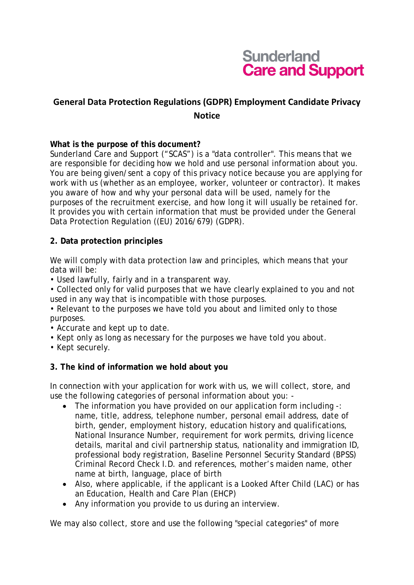

# **General Data Protection Regulations (GDPR) Employment Candidate Privacy Notice**

#### **What is the purpose of this document?**

Sunderland Care and Support ("SCAS") is a "data controller". This means that we are responsible for deciding how we hold and use personal information about you. You are being given/sent a copy of this privacy notice because you are applying for work with us (whether as an employee, worker, volunteer or contractor). It makes you aware of how and why your personal data will be used, namely for the purposes of the recruitment exercise, and how long it will usually be retained for. It provides you with certain information that must be provided under the General Data Protection Regulation ((EU) 2016/679) (GDPR).

#### **2. Data protection principles**

We will comply with data protection law and principles, which means that your data will be:

• Used lawfully, fairly and in a transparent way.

• Collected only for valid purposes that we have clearly explained to you and not used in any way that is incompatible with those purposes.

• Relevant to the purposes we have told you about and limited only to those purposes.

- Accurate and kept up to date.
- Kept only as long as necessary for the purposes we have told you about.
- Kept securely.

#### **3. The kind of information we hold about you**

In connection with your application for work with us, we will collect, store, and use the following categories of personal information about you: -

- The information you have provided on our application form including -: name, title, address, telephone number, personal email address, date of birth, gender, employment history, education history and qualifications, National Insurance Number, requirement for work permits, driving licence details, marital and civil partnership status, nationality and immigration ID, professional body registration, Baseline Personnel Security Standard (BPSS) Criminal Record Check I.D. and references, mother's maiden name, other name at birth, language, place of birth
- Also, where applicable, if the applicant is a Looked After Child (LAC) or has an Education, Health and Care Plan (EHCP)
- Any information you provide to us during an interview.

We may also collect, store and use the following "special categories" of more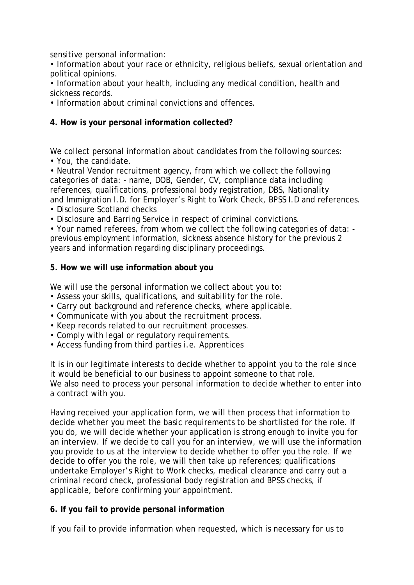sensitive personal information:

• Information about your race or ethnicity, religious beliefs, sexual orientation and political opinions.

• Information about your health, including any medical condition, health and sickness records.

• Information about criminal convictions and offences.

#### **4. How is your personal information collected?**

We collect personal information about candidates from the following sources:

• You, the candidate.

• Neutral Vendor recruitment agency, from which we collect the following categories of data: - name, DOB, Gender, CV, compliance data including references, qualifications, professional body registration, DBS, Nationality and Immigration I.D. for Employer's Right to Work Check, BPSS I.D and references.

• Disclosure Scotland checks

• Disclosure and Barring Service in respect of criminal convictions.

• Your named referees, from whom we collect the following categories of data: previous employment information, sickness absence history for the previous 2 years and information regarding disciplinary proceedings.

#### **5. How we will use information about you**

We will use the personal information we collect about you to:

- Assess your skills, qualifications, and suitability for the role.
- Carry out background and reference checks, where applicable.
- Communicate with you about the recruitment process.
- Keep records related to our recruitment processes.
- Comply with legal or regulatory requirements.
- Access funding from third parties i.e. Apprentices

It is in our legitimate interests to decide whether to appoint you to the role since it would be beneficial to our business to appoint someone to that role. We also need to process your personal information to decide whether to enter into a contract with you.

Having received your application form, we will then process that information to decide whether you meet the basic requirements to be shortlisted for the role. If you do, we will decide whether your application is strong enough to invite you for an interview. If we decide to call you for an interview, we will use the information you provide to us at the interview to decide whether to offer you the role. If we decide to offer you the role, we will then take up references; qualifications undertake Employer's Right to Work checks, medical clearance and carry out a criminal record check, professional body registration and BPSS checks, if applicable, before confirming your appointment.

## **6. If you fail to provide personal information**

If you fail to provide information when requested, which is necessary for us to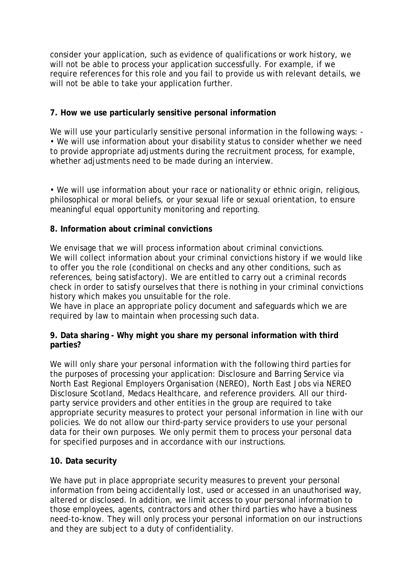consider your application, such as evidence of qualifications or work history, we will not be able to process your application successfully. For example, if we require references for this role and you fail to provide us with relevant details, we will not be able to take your application further.

# **7. How we use particularly sensitive personal information**

We will use your particularly sensitive personal information in the following ways: -• We will use information about your disability status to consider whether we need to provide appropriate adjustments during the recruitment process, for example, whether adjustments need to be made during an interview.

• We will use information about your race or nationality or ethnic origin, religious, philosophical or moral beliefs, or your sexual life or sexual orientation, to ensure meaningful equal opportunity monitoring and reporting.

## **8. Information about criminal convictions**

We envisage that we will process information about criminal convictions. We will collect information about your criminal convictions history if we would like to offer you the role (conditional on checks and any other conditions, such as references, being satisfactory). We are entitled to carry out a criminal records check in order to satisfy ourselves that there is nothing in your criminal convictions history which makes you unsuitable for the role.

We have in place an appropriate policy document and safeguards which we are required by law to maintain when processing such data.

## **9. Data sharing - Why might you share my personal information with third parties?**

We will only share your personal information with the following third parties for the purposes of processing your application: Disclosure and Barring Service via North East Regional Employers Organisation (NEREO), North East Jobs via NEREO Disclosure Scotland, Medacs Healthcare, and reference providers. All our thirdparty service providers and other entities in the group are required to take appropriate security measures to protect your personal information in line with our policies. We do not allow our third-party service providers to use your personal data for their own purposes. We only permit them to process your personal data for specified purposes and in accordance with our instructions.

## **10. Data security**

We have put in place appropriate security measures to prevent your personal information from being accidentally lost, used or accessed in an unauthorised way, altered or disclosed. In addition, we limit access to your personal information to those employees, agents, contractors and other third parties who have a business need-to-know. They will only process your personal information on our instructions and they are subject to a duty of confidentiality.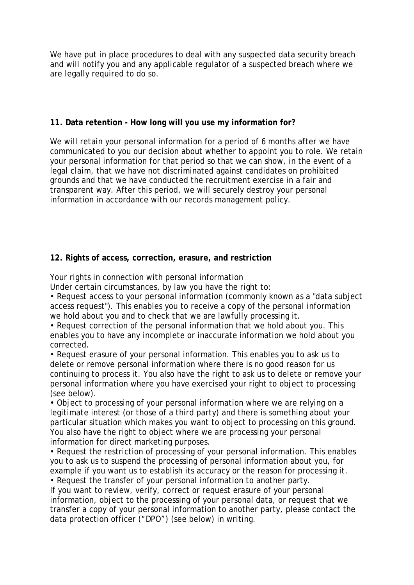We have put in place procedures to deal with any suspected data security breach and will notify you and any applicable regulator of a suspected breach where we are legally required to do so.

#### **11. Data retention - How long will you use my information for?**

We will retain your personal information for a period of 6 months after we have communicated to you our decision about whether to appoint you to role. We retain your personal information for that period so that we can show, in the event of a legal claim, that we have not discriminated against candidates on prohibited grounds and that we have conducted the recruitment exercise in a fair and transparent way. After this period, we will securely destroy your personal information in accordance with our records management policy.

## **12. Rights of access, correction, erasure, and restriction**

Your rights in connection with personal information

Under certain circumstances, by law you have the right to:

• Request access to your personal information (commonly known as a "data subject access request"). This enables you to receive a copy of the personal information we hold about you and to check that we are lawfully processing it.

• Request correction of the personal information that we hold about you. This enables you to have any incomplete or inaccurate information we hold about you corrected.

• Request erasure of your personal information. This enables you to ask us to delete or remove personal information where there is no good reason for us continuing to process it. You also have the right to ask us to delete or remove your personal information where you have exercised your right to object to processing (see below).

• Object to processing of your personal information where we are relying on a legitimate interest (or those of a third party) and there is something about your particular situation which makes you want to object to processing on this ground. You also have the right to object where we are processing your personal information for direct marketing purposes.

• Request the restriction of processing of your personal information. This enables you to ask us to suspend the processing of personal information about you, for example if you want us to establish its accuracy or the reason for processing it.

• Request the transfer of your personal information to another party. If you want to review, verify, correct or request erasure of your personal information, object to the processing of your personal data, or request that we transfer a copy of your personal information to another party, please contact the data protection officer ("DPO") (see below) in writing.